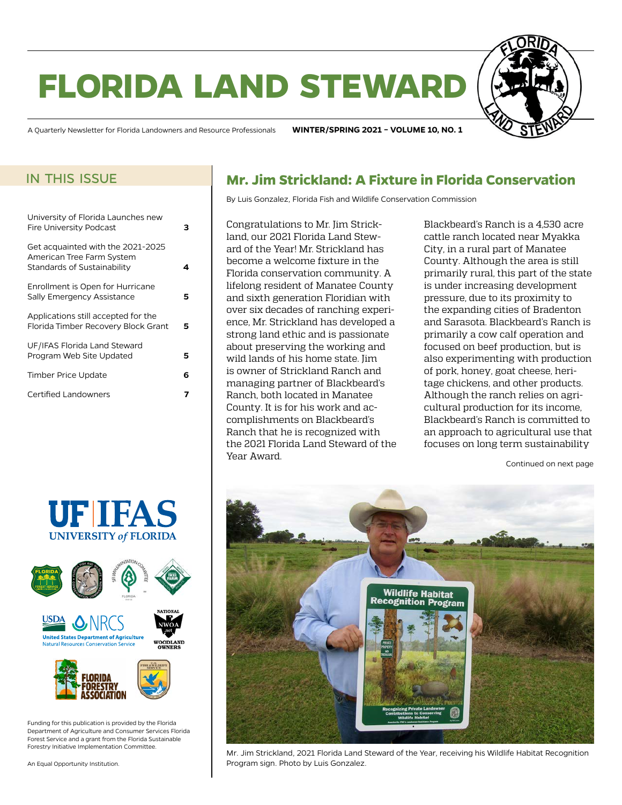# **florida land steward**



A Quarterly Newsletter for Florida Landowners and Resource Professionals **WINTER/SPRING 2021 – VOLUME 10, NO. 1**

### in this issue

| University of Florida Launches new<br><b>Fire University Podcast</b>                          |   |
|-----------------------------------------------------------------------------------------------|---|
| Get acquainted with the 2021-2025<br>American Tree Farm System<br>Standards of Sustainability |   |
| Enrollment is Open for Hurricane<br>Sally Emergency Assistance                                | 5 |
| Applications still accepted for the<br>Florida Timber Recovery Block Grant                    | 5 |
| UF/IFAS Florida Land Steward<br>Program Web Site Updated                                      | 5 |
| <b>Timber Price Update</b>                                                                    | 6 |
| <b>Certified Landowners</b>                                                                   |   |
|                                                                                               |   |





Funding for this publication is provided by the Florida Department of Agriculture and Consumer Services Florida Forest Service and a grant from the Florida Sustainable Forestry Initiative Implementation Committee.

An Equal Opportunity Institution.

## **Mr. Jim Strickland: A Fixture in Florida Conservation**

By Luis Gonzalez, Florida Fish and Wildlife Conservation Commission

Congratulations to Mr. Jim Strickland, our 2021 Florida Land Steward of the Year! Mr. Strickland has become a welcome fixture in the Florida conservation community. A lifelong resident of Manatee County and sixth generation Floridian with over six decades of ranching experience, Mr. Strickland has developed a strong land ethic and is passionate about preserving the working and wild lands of his home state. Jim is owner of Strickland Ranch and managing partner of Blackbeard's Ranch, both located in Manatee County. It is for his work and accomplishments on Blackbeard's Ranch that he is recognized with the 2021 Florida Land Steward of the Year Award.

Blackbeard's Ranch is a 4,530 acre cattle ranch located near Myakka City, in a rural part of Manatee County. Although the area is still primarily rural, this part of the state is under increasing development pressure, due to its proximity to the expanding cities of Bradenton and Sarasota. Blackbeard's Ranch is primarily a cow calf operation and focused on beef production, but is also experimenting with production of pork, honey, goat cheese, heritage chickens, and other products. Although the ranch relies on agricultural production for its income, Blackbeard's Ranch is committed to an approach to agricultural use that focuses on long term sustainability

Continued on next page



Mr. Jim Strickland, 2021 Florida Land Steward of the Year, receiving his Wildlife Habitat Recognition Program sign. Photo by Luis Gonzalez.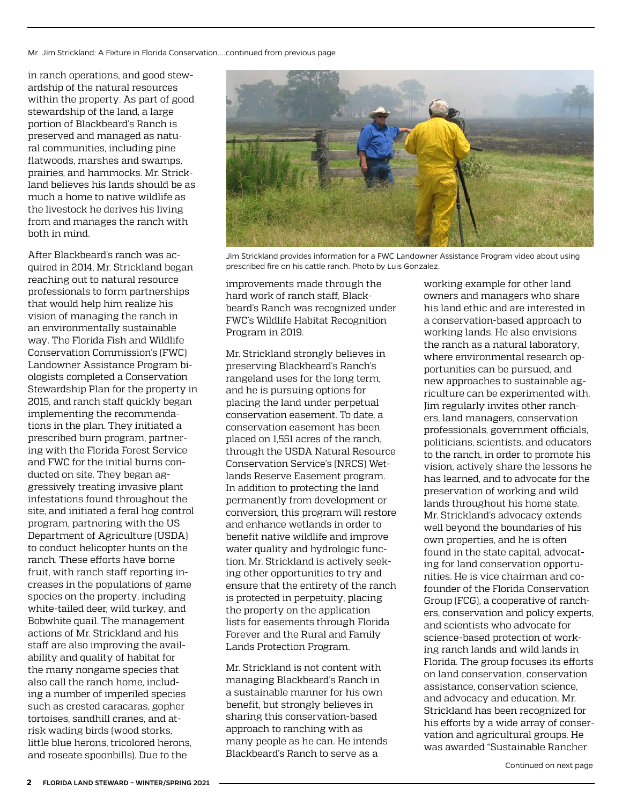Mr. Jim Strickland: A Fixture in Florida Conservation....continued from previous page

in ranch operations, and good stewardship of the natural resources within the property. As part of good stewardship of the land, a large portion of Blackbeard's Ranch is preserved and managed as natural communities, including pine flatwoods, marshes and swamps, prairies, and hammocks. Mr. Strickland believes his lands should be as much a home to native wildlife as the livestock he derives his living from and manages the ranch with both in mind.

After Blackbeard's ranch was acquired in 2014, Mr. Strickland began reaching out to natural resource professionals to form partnerships that would help him realize his vision of managing the ranch in an environmentally sustainable way. The Florida Fish and Wildlife Conservation Commission's (FWC) Landowner Assistance Program biologists completed a Conservation Stewardship Plan for the property in 2015, and ranch staff quickly began implementing the recommendations in the plan. They initiated a prescribed burn program, partnering with the Florida Forest Service and FWC for the initial burns conducted on site. They began aggressively treating invasive plant infestations found throughout the site, and initiated a feral hog control program, partnering with the US Department of Agriculture (USDA) to conduct helicopter hunts on the ranch. These efforts have borne fruit, with ranch staff reporting increases in the populations of game species on the property, including white-tailed deer, wild turkey, and Bobwhite quail. The management actions of Mr. Strickland and his staff are also improving the availability and quality of habitat for the many nongame species that also call the ranch home, including a number of imperiled species such as crested caracaras, gopher tortoises, sandhill cranes, and atrisk wading birds (wood storks, little blue herons, tricolored herons, and roseate spoonbills). Due to the

![](_page_1_Picture_3.jpeg)

Jim Strickland provides information for a FWC Landowner Assistance Program video about using prescribed fire on his cattle ranch. Photo by Luis Gonzalez.

improvements made through the hard work of ranch staff, Blackbeard's Ranch was recognized under FWC's Wildlife Habitat Recognition Program in 2019.

Mr. Strickland strongly believes in preserving Blackbeard's Ranch's rangeland uses for the long term, and he is pursuing options for placing the land under perpetual conservation easement. To date, a conservation easement has been placed on 1,551 acres of the ranch, through the USDA Natural Resource Conservation Service's (NRCS) Wetlands Reserve Easement program. In addition to protecting the land permanently from development or conversion, this program will restore and enhance wetlands in order to benefit native wildlife and improve water quality and hydrologic function. Mr. Strickland is actively seeking other opportunities to try and ensure that the entirety of the ranch is protected in perpetuity, placing the property on the application lists for easements through Florida Forever and the Rural and Family Lands Protection Program.

Mr. Strickland is not content with managing Blackbeard's Ranch in a sustainable manner for his own benefit, but strongly believes in sharing this conservation-based approach to ranching with as many people as he can. He intends Blackbeard's Ranch to serve as a

working example for other land owners and managers who share his land ethic and are interested in a conservation-based approach to working lands. He also envisions the ranch as a natural laboratory, where environmental research opportunities can be pursued, and new approaches to sustainable agriculture can be experimented with. Jim regularly invites other ranchers, land managers, conservation professionals, government officials, politicians, scientists, and educators to the ranch, in order to promote his vision, actively share the lessons he has learned, and to advocate for the preservation of working and wild lands throughout his home state. Mr. Strickland's advocacy extends well beyond the boundaries of his own properties, and he is often found in the state capital, advocating for land conservation opportunities. He is vice chairman and cofounder of the Florida Conservation Group (FCG), a cooperative of ranchers, conservation and policy experts, and scientists who advocate for science-based protection of working ranch lands and wild lands in Florida. The group focuses its efforts on land conservation, conservation assistance, conservation science, and advocacy and education. Mr. Strickland has been recognized for his efforts by a wide array of conservation and agricultural groups. He was awarded "Sustainable Rancher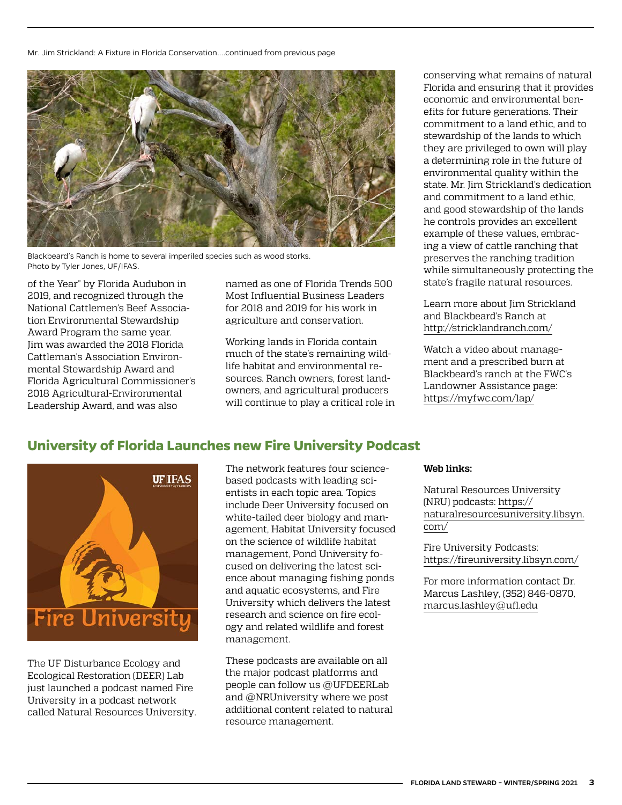<span id="page-2-0"></span>Mr. Jim Strickland: A Fixture in Florida Conservation....continued from previous page

![](_page_2_Picture_1.jpeg)

Blackbeard's Ranch is home to several imperiled species such as wood storks. Photo by Tyler Jones, UF/IFAS.

of the Year" by Florida Audubon in 2019, and recognized through the National Cattlemen's Beef Association Environmental Stewardship Award Program the same year. Jim was awarded the 2018 Florida Cattleman's Association Environmental Stewardship Award and Florida Agricultural Commissioner's 2018 Agricultural-Environmental Leadership Award, and was also

named as one of Florida Trends 500 Most Influential Business Leaders for 2018 and 2019 for his work in agriculture and conservation.

Working lands in Florida contain much of the state's remaining wildlife habitat and environmental resources. Ranch owners, forest landowners, and agricultural producers will continue to play a critical role in conserving what remains of natural Florida and ensuring that it provides economic and environmental benefits for future generations. Their commitment to a land ethic, and to stewardship of the lands to which they are privileged to own will play a determining role in the future of environmental quality within the state. Mr. Jim Strickland's dedication and commitment to a land ethic, and good stewardship of the lands he controls provides an excellent example of these values, embracing a view of cattle ranching that preserves the ranching tradition while simultaneously protecting the state's fragile natural resources.

Learn more about Jim Strickland and Blackbeard's Ranch at <http://stricklandranch.com/>

Watch a video about management and a prescribed burn at Blackbeard's ranch at the FWC's Landowner Assistance page: <https://myfwc.com/lap/>

# **University of Florida Launches new Fire University Podcast**

![](_page_2_Picture_10.jpeg)

The UF Disturbance Ecology and Ecological Restoration (DEER) Lab just launched a podcast named Fire University in a podcast network called Natural Resources University. The network features four sciencebased podcasts with leading scientists in each topic area. Topics include Deer University focused on white-tailed deer biology and management, Habitat University focused on the science of wildlife habitat management, Pond University focused on delivering the latest science about managing fishing ponds and aquatic ecosystems, and Fire University which delivers the latest research and science on fire ecology and related wildlife and forest management.

These podcasts are available on all the major podcast platforms and people can follow us @UFDEERLab and @NRUniversity where we post additional content related to natural resource management.

#### **Web links:**

Natural Resources University (NRU) podcasts: [https://](https://naturalresourcesuniversity.libsyn.com/) [naturalresourcesuniversity.libsyn.](https://naturalresourcesuniversity.libsyn.com/) [com/](https://naturalresourcesuniversity.libsyn.com/)

Fire University Podcasts: <https://fireuniversity.libsyn.com/>

For more information contact Dr. Marcus Lashley, (352) 846-0870, [marcus.lashley@ufl.edu](mailto:marcus.lashley%40ufl.edu?subject=)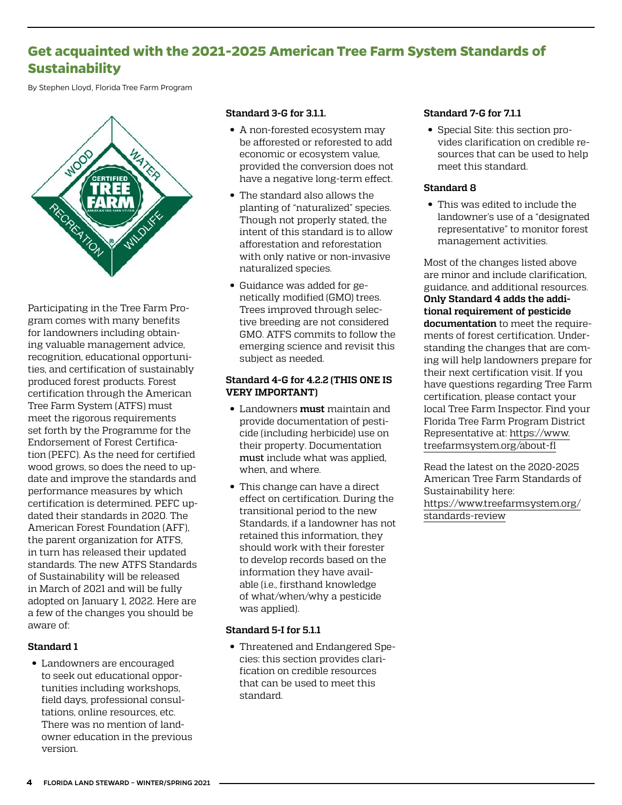# <span id="page-3-0"></span>**Get acquainted with the 2021-2025 American Tree Farm System Standards of Sustainability**

By Stephen Lloyd, Florida Tree Farm Program

![](_page_3_Picture_2.jpeg)

Participating in the Tree Farm Program comes with many benefits for landowners including obtaining valuable management advice, recognition, educational opportunities, and certification of sustainably produced forest products. Forest certification through the American Tree Farm System (ATFS) must meet the rigorous requirements set forth by the Programme for the Endorsement of Forest Certification (PEFC). As the need for certified wood grows, so does the need to update and improve the standards and performance measures by which certification is determined. PEFC updated their standards in 2020. The American Forest Foundation (AFF), the parent organization for ATFS, in turn has released their updated standards. The new ATFS Standards of Sustainability will be released in March of 2021 and will be fully adopted on January 1, 2022. Here are a few of the changes you should be aware of:

#### **Standard 1**

• Landowners are encouraged to seek out educational opportunities including workshops, field days, professional consultations, online resources, etc. There was no mention of landowner education in the previous version.

#### **Standard 3-G for 3.1.1.**

- A non-forested ecosystem may be afforested or reforested to add economic or ecosystem value, provided the conversion does not have a negative long-term effect.
- The standard also allows the planting of "naturalized" species. Though not properly stated, the intent of this standard is to allow afforestation and reforestation with only native or non-invasive naturalized species.
- Guidance was added for genetically modified (GMO) trees. Trees improved through selective breeding are not considered GMO. ATFS commits to follow the emerging science and revisit this subject as needed.

#### **Standard 4-G for 4.2.2 (THIS ONE IS VERY IMPORTANT)**

- Landowners **must** maintain and provide documentation of pesticide (including herbicide) use on their property. Documentation must include what was applied, when, and where.
- This change can have a direct effect on certification. During the transitional period to the new Standards, if a landowner has not retained this information, they should work with their forester to develop records based on the information they have available (i.e., firsthand knowledge of what/when/why a pesticide was applied).

#### **Standard 5-I for 5.1.1**

• Threatened and Endangered Species: this section provides clarification on credible resources that can be used to meet this standard.

#### **Standard 7-G for 7.1.1**

• Special Site: this section provides clarification on credible resources that can be used to help meet this standard.

#### **Standard 8**

• This was edited to include the landowner's use of a "designated representative" to monitor forest management activities.

Most of the changes listed above are minor and include clarification, guidance, and additional resources. **Only Standard 4 adds the additional requirement of pesticide documentation** to meet the requirements of forest certification. Understanding the changes that are coming will help landowners prepare for their next certification visit. If you have questions regarding Tree Farm certification, please contact your local Tree Farm Inspector. Find your Florida Tree Farm Program District Representative at: [https://www.](https://www.treefarmsystem.org/about-fl) [treefarmsystem.org/about-fl](https://www.treefarmsystem.org/about-fl)

Read the latest on the 2020-2025 American Tree Farm Standards of Sustainability here: [https://www.treefarmsystem.org/](https://www.treefarmsystem.org/standards-review) [standards-review](https://www.treefarmsystem.org/standards-review)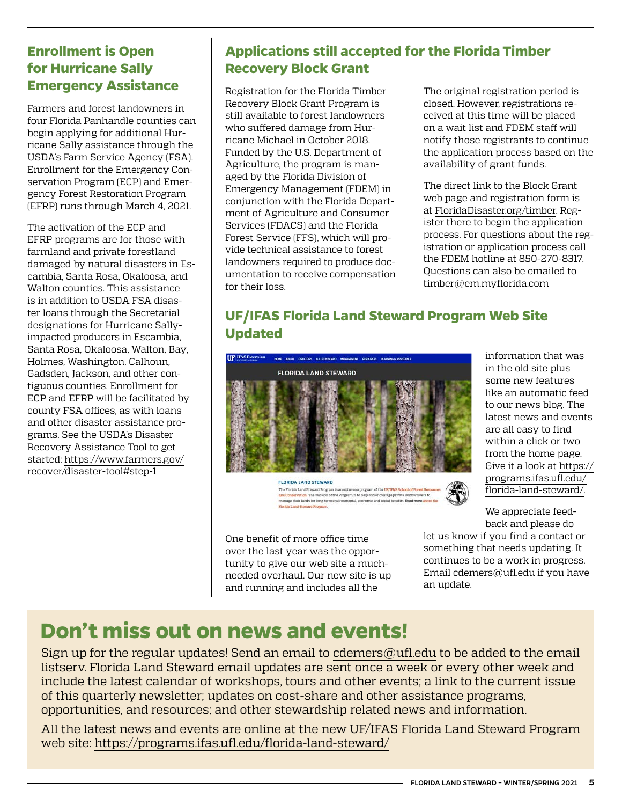# <span id="page-4-0"></span>**Enrollment is Open for Hurricane Sally Emergency Assistance**

Farmers and forest landowners in four Florida Panhandle counties can begin applying for additional Hurricane Sally assistance through the USDA's Farm Service Agency (FSA). Enrollment for the Emergency Conservation Program (ECP) and Emergency Forest Restoration Program (EFRP) runs through March 4, 2021.

The activation of the ECP and EFRP programs are for those with farmland and private forestland damaged by natural disasters in Escambia, Santa Rosa, Okaloosa, and Walton counties. This assistance is in addition to USDA FSA disaster loans through the Secretarial designations for Hurricane Sallyimpacted producers in Escambia, Santa Rosa, Okaloosa, Walton, Bay, Holmes, Washington, Calhoun, Gadsden, Jackson, and other contiguous counties. Enrollment for ECP and EFRP will be facilitated by county FSA offices, as with loans and other disaster assistance programs. See the USDA's Disaster Recovery Assistance Tool to get started: [https://www.farmers.gov/](https://www.farmers.gov/recover/disaster-tool#step-1) [recover/disaster-tool#step-1](https://www.farmers.gov/recover/disaster-tool#step-1)

# **Applications still accepted for the Florida Timber Recovery Block Grant**

Registration for the Florida Timber Recovery Block Grant Program is still available to forest landowners who suffered damage from Hurricane Michael in October 2018. Funded by the U.S. Department of Agriculture, the program is managed by the Florida Division of Emergency Management (FDEM) in conjunction with the Florida Department of Agriculture and Consumer Services (FDACS) and the Florida Forest Service (FFS), which will provide technical assistance to forest landowners required to produce documentation to receive compensation for their loss.

The original registration period is closed. However, registrations received at this time will be placed on a wait list and FDEM staff will notify those registrants to continue the application process based on the availability of grant funds.

The direct link to the Block Grant web page and registration form is at [FloridaDisaster.org/timber](https://www.floridadisaster.org/timber). Register there to begin the application process. For questions about the registration or application process call the FDEM hotline at 850-270-8317. Questions can also be emailed to [timber@em.myflorida.com](mailto:timber%40em.myflorida.com?subject=)

# **UF/IFAS Florida Land Steward Program Web Site Updated**

![](_page_4_Picture_8.jpeg)

FLORIDA LAND STEWARD The Florida Land Steward Program is an extension program of the UF/IFAS School of Forest R and Conservation. The mission of the Program is to help and encourage private lan manage their lands for long-term environmental, economic and social benefits. Read more about the

One benefit of more office time over the last year was the opportunity to give our web site a muchneeded overhaul. Our new site is up and running and includes all the

information that was in the old site plus some new features like an automatic feed to our news blog. The latest news and events are all easy to find within a click or two from the home page. Give it a look at [https://](https://programs.ifas.ufl.edu/florida-land-steward/) [programs.ifas.ufl.edu/](https://programs.ifas.ufl.edu/florida-land-steward/) [florida-land-steward/.](https://programs.ifas.ufl.edu/florida-land-steward/)

We appreciate feedback and please do

let us know if you find a contact or something that needs updating. It continues to be a work in progress. Email [cdemers@ufl.edu](mailto:cdemers%40ufl.edu?subject=) if you have an update.

# **Don't miss out on news and events!**

Sign up for the regular updates! Send an email to [cdemers@ufl.edu](mailto:cdemers%40ufl.edu?subject=) to be added to the email listserv. Florida Land Steward email updates are sent once a week or every other week and include the latest calendar of workshops, tours and other events; a link to the current issue of this quarterly newsletter; updates on cost-share and other assistance programs, opportunities, and resources; and other stewardship related news and information.

All the latest news and events are online at the new UF/IFAS Florida Land Steward Program web site:<https://programs.ifas.ufl.edu/florida-land-steward/>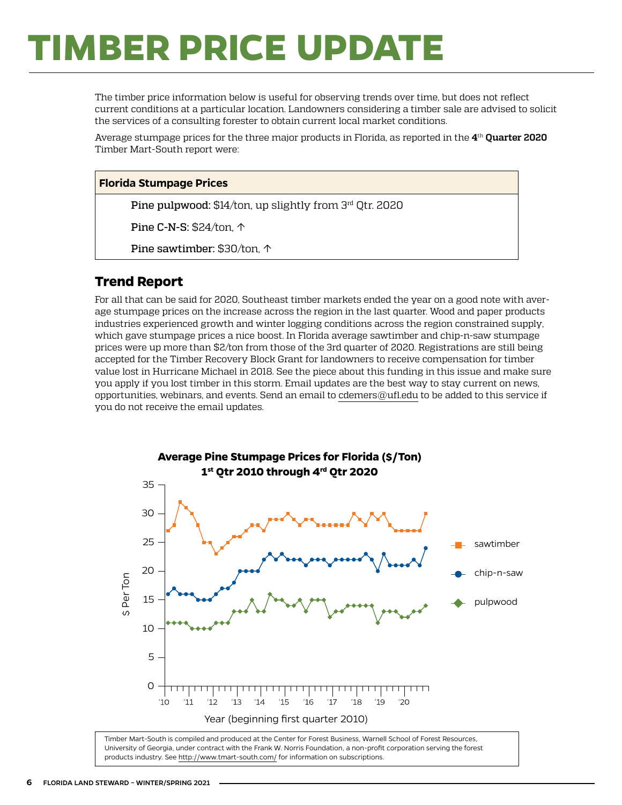# <span id="page-5-0"></span>**TIMBER PRICE UPDATE**

The timber price information below is useful for observing trends over time, but does not reflect current conditions at a particular location. Landowners considering a timber sale are advised to solicit the services of a consulting forester to obtain current local market conditions.

Average stumpage prices for the three major products in Florida, as reported in the **4**th **Quarter 2020** Timber Mart-South report were:

#### **Florida Stumpage Prices**

Pine pulpwood: \$14/ton, up slightly from 3rd Qtr. 2020

Pine C-N-S: \$24/ton, ↑

Pine sawtimber: \$30/ton, ↑

### **Trend Report**

For all that can be said for 2020, Southeast timber markets ended the year on a good note with average stumpage prices on the increase across the region in the last quarter. Wood and paper products industries experienced growth and winter logging conditions across the region constrained supply, which gave stumpage prices a nice boost. In Florida average sawtimber and chip-n-saw stumpage prices were up more than \$2/ton from those of the 3rd quarter of 2020. Registrations are still being accepted for the Timber Recovery Block Grant for landowners to receive compensation for timber value lost in Hurricane Michael in 2018. See the piece about this funding in this issue and make sure you apply if you lost timber in this storm. Email updates are the best way to stay current on news, opportunities, webinars, and events. Send an email to [cdemers@ufl.edu](mailto:cdemers%40ufl.edu?subject=) to be added to this service if you do not receive the email updates.

![](_page_5_Figure_9.jpeg)

University of Georgia, under contract with the Frank W. Norris Foundation, a non-profit corporation serving the forest products industry. See <http://www.tmart-south.com/>for information on subscriptions.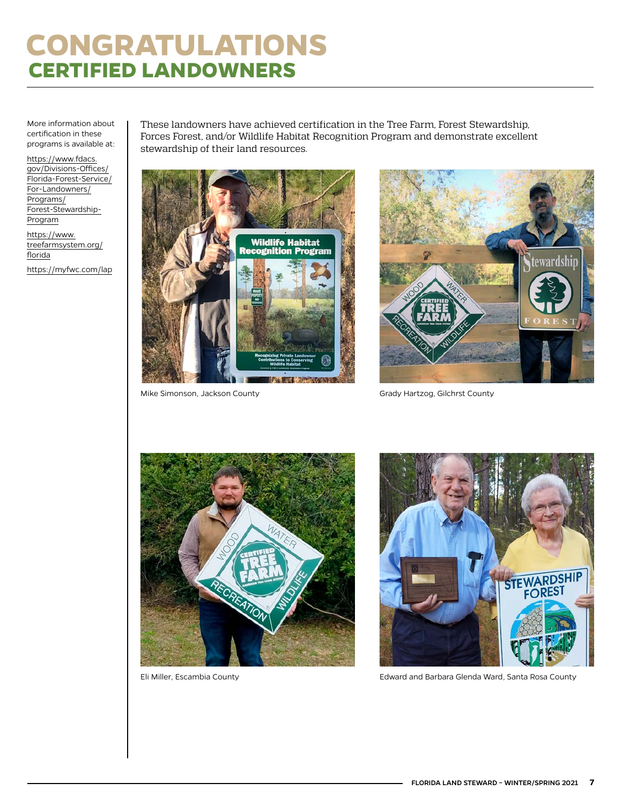# <span id="page-6-0"></span>**CONGRATULATIONS CERTIFIED LANDOWNERS**

More information about certification in these programs is available at:

[https://www.fdacs.](https://www.fdacs.gov/Divisions-Offices/Florida-Forest-Service/For-Landowners/Programs/Forest-Stewardship-Program) [gov/Divisions-Offices/](https://www.fdacs.gov/Divisions-Offices/Florida-Forest-Service/For-Landowners/Programs/Forest-Stewardship-Program) [Florida-Forest-Service/](https://www.fdacs.gov/Divisions-Offices/Florida-Forest-Service/For-Landowners/Programs/Forest-Stewardship-Program) [For-Landowners/](https://www.fdacs.gov/Divisions-Offices/Florida-Forest-Service/For-Landowners/Programs/Forest-Stewardship-Program) [Programs/](https://www.fdacs.gov/Divisions-Offices/Florida-Forest-Service/For-Landowners/Programs/Forest-Stewardship-Program) [Forest-Stewardship-](https://www.fdacs.gov/Divisions-Offices/Florida-Forest-Service/For-Landowners/Programs/Forest-Stewardship-Program)[Program](https://www.fdacs.gov/Divisions-Offices/Florida-Forest-Service/For-Landowners/Programs/Forest-Stewardship-Program) [https://www.](https://www.treefarmsystem.org/florida)

[treefarmsystem.org/](https://www.treefarmsystem.org/florida) [florida](https://www.treefarmsystem.org/florida) <https://myfwc.com/lap> These landowners have achieved certification in the Tree Farm, Forest Stewardship, Forces Forest, and/or Wildlife Habitat Recognition Program and demonstrate excellent stewardship of their land resources.

![](_page_6_Picture_5.jpeg)

Mike Simonson, Jackson County Grady Hartzog, Gilchrst County

![](_page_6_Picture_7.jpeg)

![](_page_6_Picture_9.jpeg)

![](_page_6_Picture_11.jpeg)

Eli Miller, Escambia County Edward and Barbara Glenda Ward, Santa Rosa County